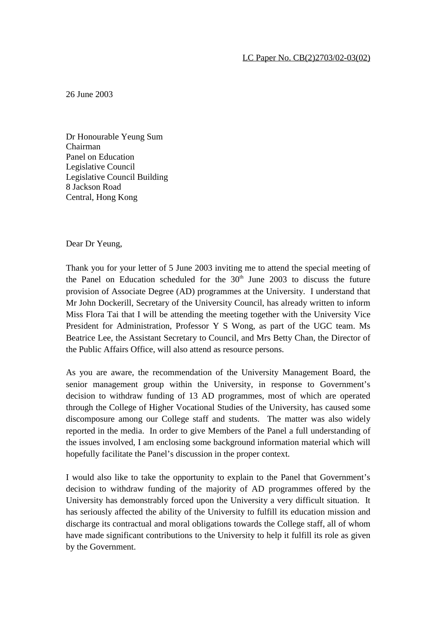26 June 2003

Dr Honourable Yeung Sum Chairman Panel on Education Legislative Council Legislative Council Building 8 Jackson Road Central, Hong Kong

Dear Dr Yeung,

Thank you for your letter of 5 June 2003 inviting me to attend the special meeting of the Panel on Education scheduled for the  $30<sup>th</sup>$  June 2003 to discuss the future provision of Associate Degree (AD) programmes at the University. I understand that Mr John Dockerill, Secretary of the University Council, has already written to inform Miss Flora Tai that I will be attending the meeting together with the University Vice President for Administration, Professor Y S Wong, as part of the UGC team. Ms Beatrice Lee, the Assistant Secretary to Council, and Mrs Betty Chan, the Director of the Public Affairs Office, will also attend as resource persons.

As you are aware, the recommendation of the University Management Board, the senior management group within the University, in response to Government's decision to withdraw funding of 13 AD programmes, most of which are operated through the College of Higher Vocational Studies of the University, has caused some discomposure among our College staff and students. The matter was also widely reported in the media. In order to give Members of the Panel a full understanding of the issues involved, I am enclosing some background information material which will hopefully facilitate the Panel's discussion in the proper context.

I would also like to take the opportunity to explain to the Panel that Government's decision to withdraw funding of the majority of AD programmes offered by the University has demonstrably forced upon the University a very difficult situation. It has seriously affected the ability of the University to fulfill its education mission and discharge its contractual and moral obligations towards the College staff, all of whom have made significant contributions to the University to help it fulfill its role as given by the Government.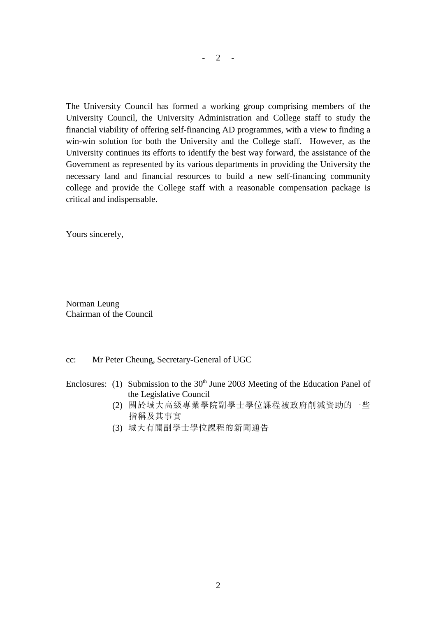The University Council has formed a working group comprising members of the University Council, the University Administration and College staff to study the financial viability of offering self-financing AD programmes, with a view to finding a win-win solution for both the University and the College staff. However, as the University continues its efforts to identify the best way forward, the assistance of the Government as represented by its various departments in providing the University the necessary land and financial resources to build a new self-financing community college and provide the College staff with a reasonable compensation package is critical and indispensable.

Yours sincerely,

Norman Leung Chairman of the Council

cc: Mr Peter Cheung, Secretary-General of UGC

- Enclosures: (1) Submission to the  $30<sup>th</sup>$  June 2003 Meeting of the Education Panel of the Legislative Council
	- (2) 關於城大高級專業學院副學士學位課程被政府削減資助的一些 指稱及其事實
	- (3) 城大有關副學士學位課程的新聞通告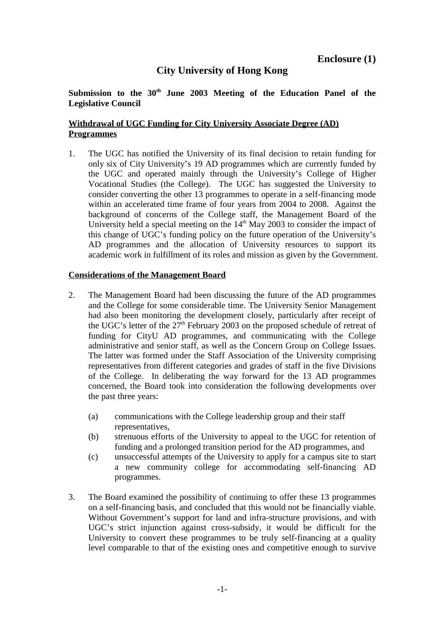# **City University of Hong Kong**

## Submission to the 30<sup>th</sup> June 2003 Meeting of the Education Panel of the **Legislative Council**

## **Withdrawal of UGC Funding for City University Associate Degree (AD) Programmes**

1. The UGC has notified the University of its final decision to retain funding for only six of City University's 19 AD programmes which are currently funded by the UGC and operated mainly through the University's College of Higher Vocational Studies (the College). The UGC has suggested the University to consider converting the other 13 programmes to operate in a self-financing mode within an accelerated time frame of four years from 2004 to 2008. Against the background of concerns of the College staff, the Management Board of the University held a special meeting on the  $14<sup>th</sup>$  May 2003 to consider the impact of this change of UGC's funding policy on the future operation of the University's AD programmes and the allocation of University resources to support its academic work in fulfillment of its roles and mission as given by the Government.

### **Considerations of the Management Board**

- 2. The Management Board had been discussing the future of the AD programmes and the College for some considerable time. The University Senior Management had also been monitoring the development closely, particularly after receipt of the UGC's letter of the  $27<sup>th</sup>$  February 2003 on the proposed schedule of retreat of funding for CityU AD programmes, and communicating with the College administrative and senior staff, as well as the Concern Group on College Issues. The latter was formed under the Staff Association of the University comprising representatives from different categories and grades of staff in the five Divisions of the College. In deliberating the way forward for the 13 AD programmes concerned, the Board took into consideration the following developments over the past three years:
	- (a) communications with the College leadership group and their staff representatives,
	- (b) strenuous efforts of the University to appeal to the UGC for retention of funding and a prolonged transition period for the AD programmes, and
	- (c) unsuccessful attempts of the University to apply for a campus site to start a new community college for accommodating self-financing AD programmes.
- 3. The Board examined the possibility of continuing to offer these 13 programmes on a self-financing basis, and concluded that this would not be financially viable. Without Government's support for land and infra-structure provisions, and with UGC's strict injunction against cross-subsidy, it would be difficult for the University to convert these programmes to be truly self-financing at a quality level comparable to that of the existing ones and competitive enough to survive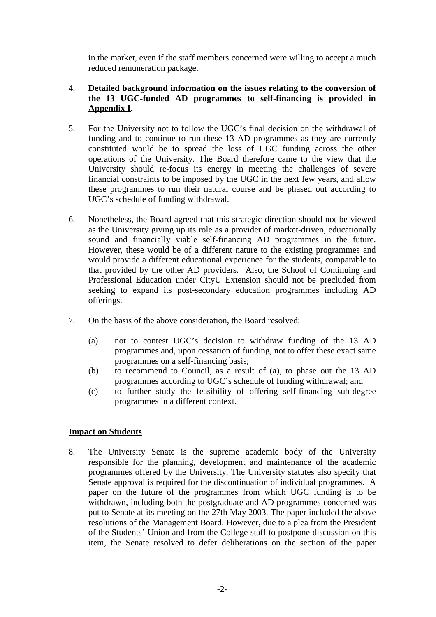in the market, even if the staff members concerned were willing to accept a much reduced remuneration package.

## 4. **Detailed background information on the issues relating to the conversion of the 13 UGC-funded AD programmes to self-financing is provided in Appendix I.**

- 5. For the University not to follow the UGC's final decision on the withdrawal of funding and to continue to run these 13 AD programmes as they are currently constituted would be to spread the loss of UGC funding across the other operations of the University. The Board therefore came to the view that the University should re-focus its energy in meeting the challenges of severe financial constraints to be imposed by the UGC in the next few years, and allow these programmes to run their natural course and be phased out according to UGC's schedule of funding withdrawal.
- 6. Nonetheless, the Board agreed that this strategic direction should not be viewed as the University giving up its role as a provider of market-driven, educationally sound and financially viable self-financing AD programmes in the future. However, these would be of a different nature to the existing programmes and would provide a different educational experience for the students, comparable to that provided by the other AD providers. Also, the School of Continuing and Professional Education under CityU Extension should not be precluded from seeking to expand its post-secondary education programmes including AD offerings.
- 7. On the basis of the above consideration, the Board resolved:
	- (a) not to contest UGC's decision to withdraw funding of the 13 AD programmes and, upon cessation of funding, not to offer these exact same programmes on a self-financing basis;
	- (b) to recommend to Council, as a result of (a), to phase out the 13 AD programmes according to UGC's schedule of funding withdrawal; and
	- (c) to further study the feasibility of offering self-financing sub-degree programmes in a different context.

## **Impact on Students**

8. The University Senate is the supreme academic body of the University responsible for the planning, development and maintenance of the academic programmes offered by the University. The University statutes also specify that Senate approval is required for the discontinuation of individual programmes. A paper on the future of the programmes from which UGC funding is to be withdrawn, including both the postgraduate and AD programmes concerned was put to Senate at its meeting on the 27th May 2003. The paper included the above resolutions of the Management Board. However, due to a plea from the President of the Students' Union and from the College staff to postpone discussion on this item, the Senate resolved to defer deliberations on the section of the paper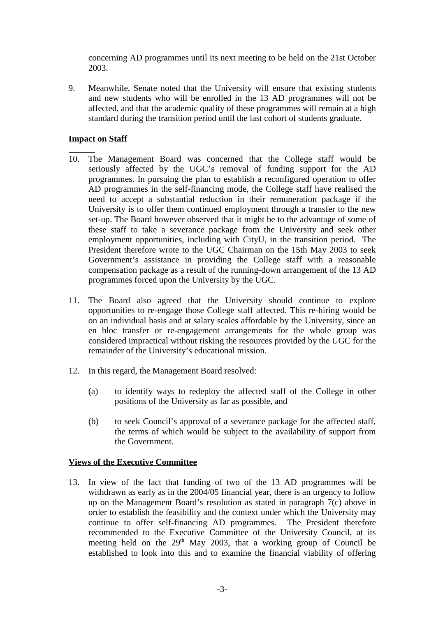concerning AD programmes until its next meeting to be held on the 21st October 2003.

9. Meanwhile, Senate noted that the University will ensure that existing students and new students who will be enrolled in the 13 AD programmes will not be affected, and that the academic quality of these programmes will remain at a high standard during the transition period until the last cohort of students graduate.

## **Impact on Staff**

- 10. The Management Board was concerned that the College staff would be seriously affected by the UGC's removal of funding support for the AD programmes. In pursuing the plan to establish a reconfigured operation to offer AD programmes in the self-financing mode, the College staff have realised the need to accept a substantial reduction in their remuneration package if the University is to offer them continued employment through a transfer to the new set-up. The Board however observed that it might be to the advantage of some of these staff to take a severance package from the University and seek other employment opportunities, including with CityU, in the transition period. The President therefore wrote to the UGC Chairman on the 15th May 2003 to seek Government's assistance in providing the College staff with a reasonable compensation package as a result of the running-down arrangement of the 13 AD programmes forced upon the University by the UGC.
- 11. The Board also agreed that the University should continue to explore opportunities to re-engage those College staff affected. This re-hiring would be on an individual basis and at salary scales affordable by the University, since an en bloc transfer or re-engagement arrangements for the whole group was considered impractical without risking the resources provided by the UGC for the remainder of the University's educational mission.
- 12. In this regard, the Management Board resolved:
	- (a) to identify ways to redeploy the affected staff of the College in other positions of the University as far as possible, and
	- (b) to seek Council's approval of a severance package for the affected staff, the terms of which would be subject to the availability of support from the Government.

## **Views of the Executive Committee**

13. In view of the fact that funding of two of the 13 AD programmes will be withdrawn as early as in the 2004/05 financial year, there is an urgency to follow up on the Management Board's resolution as stated in paragraph 7(c) above in order to establish the feasibility and the context under which the University may continue to offer self-financing AD programmes. The President therefore recommended to the Executive Committee of the University Council, at its meeting held on the  $29<sup>th</sup>$  May 2003, that a working group of Council be established to look into this and to examine the financial viability of offering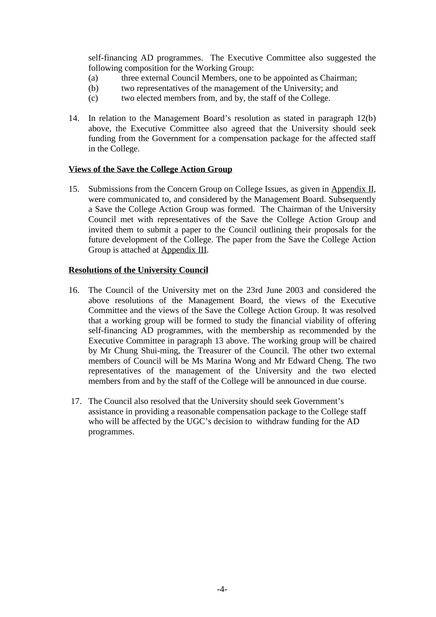self-financing AD programmes. The Executive Committee also suggested the following composition for the Working Group:

- (a) three external Council Members, one to be appointed as Chairman;
- (b) two representatives of the management of the University; and
- (c) two elected members from, and by, the staff of the College.
- 14. In relation to the Management Board's resolution as stated in paragraph 12(b) above, the Executive Committee also agreed that the University should seek funding from the Government for a compensation package for the affected staff in the College.

#### **Views of the Save the College Action Group**

15. Submissions from the Concern Group on College Issues, as given in Appendix II, were communicated to, and considered by the Management Board. Subsequently a Save the College Action Group was formed. The Chairman of the University Council met with representatives of the Save the College Action Group and invited them to submit a paper to the Council outlining their proposals for the future development of the College. The paper from the Save the College Action Group is attached at Appendix III.

#### **Resolutions of the University Council**

- 16. The Council of the University met on the 23rd June 2003 and considered the above resolutions of the Management Board, the views of the Executive Committee and the views of the Save the College Action Group. It was resolved that a working group will be formed to study the financial viability of offering self-financing AD programmes, with the membership as recommended by the Executive Committee in paragraph 13 above. The working group will be chaired by Mr Chung Shui-ming, the Treasurer of the Council. The other two external members of Council will be Ms Marina Wong and Mr Edward Cheng. The two representatives of the management of the University and the two elected members from and by the staff of the College will be announced in due course.
- 17. The Council also resolved that the University should seek Government's assistance in providing a reasonable compensation package to the College staff who will be affected by the UGC's decision to withdraw funding for the AD programmes.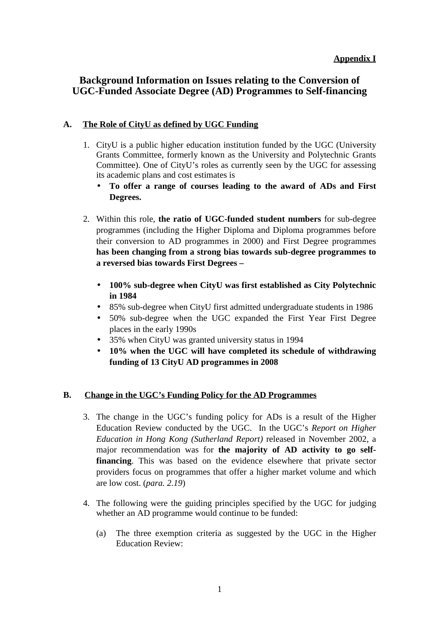## **Appendix I**

## **Background Information on Issues relating to the Conversion of UGC-Funded Associate Degree (AD) Programmes to Self-financing**

## **A. The Role of CityU as defined by UGC Funding**

- 1. CityU is a public higher education institution funded by the UGC (University Grants Committee, formerly known as the University and Polytechnic Grants Committee). One of CityU's roles as currently seen by the UGC for assessing its academic plans and cost estimates is
	- **To offer a range of courses leading to the award of ADs and First Degrees.**
- 2. Within this role, **the ratio of UGC-funded student numbers** for sub-degree programmes (including the Higher Diploma and Diploma programmes before their conversion to AD programmes in 2000) and First Degree programmes **has been changing from a strong bias towards sub-degree programmes to a reversed bias towards First Degrees –**
	- **100% sub-degree when CityU was first established as City Polytechnic in 1984**
	- 85% sub-degree when CityU first admitted undergraduate students in 1986
	- 50% sub-degree when the UGC expanded the First Year First Degree places in the early 1990s
	- 35% when CityU was granted university status in 1994
	- **10% when the UGC will have completed its schedule of withdrawing funding of 13 CityU AD programmes in 2008**

## **B. Change in the UGC's Funding Policy for the AD Programmes**

- 3. The change in the UGC's funding policy for ADs is a result of the Higher Education Review conducted by the UGC. In the UGC's *Report on Higher Education in Hong Kong (Sutherland Report)* released in November 2002, a major recommendation was for **the majority of AD activity to go selffinancing**. This was based on the evidence elsewhere that private sector providers focus on programmes that offer a higher market volume and which are low cost. (*para. 2.19*)
- 4. The following were the guiding principles specified by the UGC for judging whether an AD programme would continue to be funded:
	- (a) The three exemption criteria as suggested by the UGC in the Higher Education Review: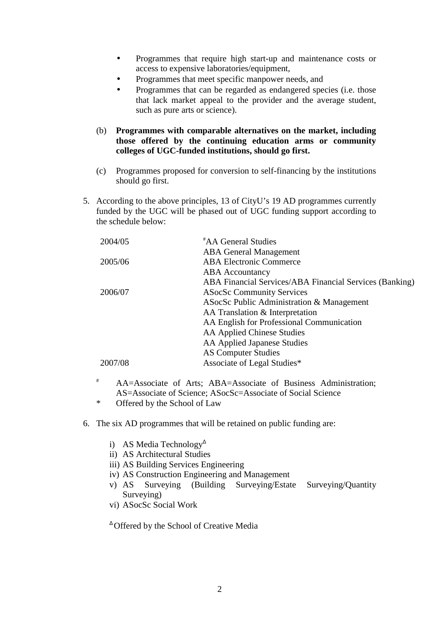- Programmes that require high start-up and maintenance costs or access to expensive laboratories/equipment,
- Programmes that meet specific manpower needs, and
- Programmes that can be regarded as endangered species (i.e. those that lack market appeal to the provider and the average student, such as pure arts or science).
- (b) **Programmes with comparable alternatives on the market, including those offered by the continuing education arms or community colleges of UGC-funded institutions, should go first.**
- (c) Programmes proposed for conversion to self-financing by the institutions should go first.
- 5. According to the above principles, 13 of CityU's 19 AD programmes currently funded by the UGC will be phased out of UGC funding support according to the schedule below:

| 2004/05 | <sup>#</sup> AA General Studies                         |
|---------|---------------------------------------------------------|
|         | <b>ABA General Management</b>                           |
| 2005/06 | <b>ABA Electronic Commerce</b>                          |
|         | <b>ABA</b> Accountancy                                  |
|         | ABA Financial Services/ABA Financial Services (Banking) |
| 2006/07 | <b>ASocSc Community Services</b>                        |
|         | ASocSc Public Administration & Management               |
|         | AA Translation & Interpretation                         |
|         | AA English for Professional Communication               |
|         | AA Applied Chinese Studies                              |
|         | AA Applied Japanese Studies                             |
|         | <b>AS Computer Studies</b>                              |
| 2007/08 | Associate of Legal Studies*                             |
|         |                                                         |

- # AA=Associate of Arts; ABA=Associate of Business Administration; AS=Associate of Science; ASocSc=Associate of Social Science
- \* Offered by the School of Law
- 6. The six AD programmes that will be retained on public funding are:
	- i) AS Media Technology<sup>∆</sup>
	- ii) AS Architectural Studies
	- iii) AS Building Services Engineering
	- iv) AS Construction Engineering and Management
	- v) AS Surveying (Building Surveying/Estate Surveying/Quantity Surveying)
	- vi) ASocSc Social Work

<sup>∆</sup> Offered by the School of Creative Media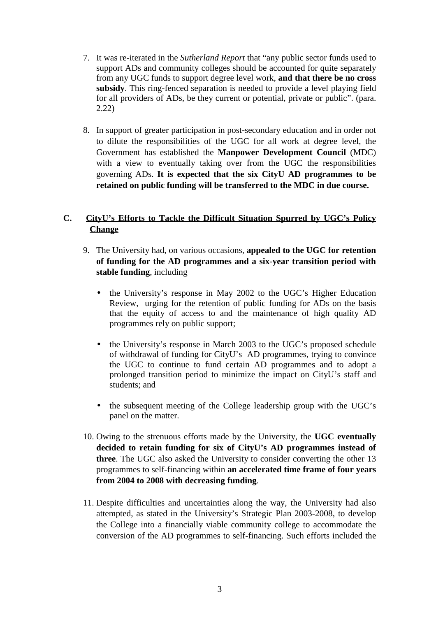- 7. It was re-iterated in the *Sutherland Report* that "any public sector funds used to support ADs and community colleges should be accounted for quite separately from any UGC funds to support degree level work, **and that there be no cross subsidy**. This ring-fenced separation is needed to provide a level playing field for all providers of ADs, be they current or potential, private or public". (para. 2.22)
- 8. In support of greater participation in post-secondary education and in order not to dilute the responsibilities of the UGC for all work at degree level, the Government has established the **Manpower Development Council** (MDC) with a view to eventually taking over from the UGC the responsibilities governing ADs. **It is expected that the six CityU AD programmes to be retained on public funding will be transferred to the MDC in due course.**

## **C. CityU's Efforts to Tackle the Difficult Situation Spurred by UGC's Policy Change**

- 9. The University had, on various occasions, **appealed to the UGC for retention of funding for the AD programmes and a six-year transition period with stable funding**, including
	- the University's response in May 2002 to the UGC's Higher Education Review, urging for the retention of public funding for ADs on the basis that the equity of access to and the maintenance of high quality AD programmes rely on public support;
	- the University's response in March 2003 to the UGC's proposed schedule of withdrawal of funding for CityU's AD programmes, trying to convince the UGC to continue to fund certain AD programmes and to adopt a prolonged transition period to minimize the impact on CityU's staff and students; and
	- the subsequent meeting of the College leadership group with the UGC's panel on the matter.
- 10. Owing to the strenuous efforts made by the University, the **UGC eventually decided to retain funding for six of CityU's AD programmes instead of three**. The UGC also asked the University to consider converting the other 13 programmes to self-financing within **an accelerated time frame of four years from 2004 to 2008 with decreasing funding**.
- 11. Despite difficulties and uncertainties along the way, the University had also attempted, as stated in the University's Strategic Plan 2003-2008, to develop the College into a financially viable community college to accommodate the conversion of the AD programmes to self-financing. Such efforts included the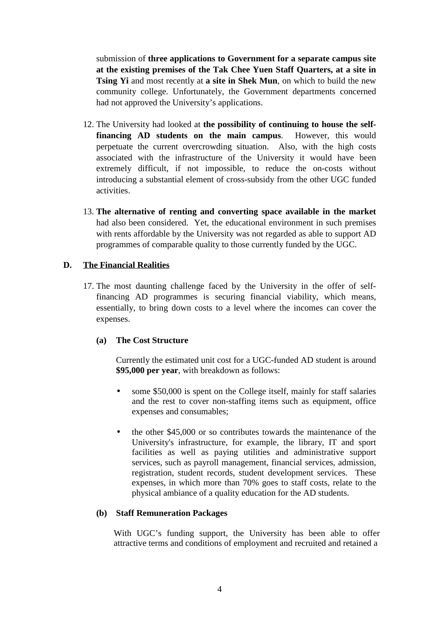submission of **three applications to Government for a separate campus site at the existing premises of the Tak Chee Yuen Staff Quarters, at a site in Tsing Yi** and most recently at **a site in Shek Mun**, on which to build the new community college. Unfortunately, the Government departments concerned had not approved the University's applications.

- 12. The University had looked at **the possibility of continuing to house the selffinancing AD students on the main campus**. However, this would perpetuate the current overcrowding situation. Also, with the high costs associated with the infrastructure of the University it would have been extremely difficult, if not impossible, to reduce the on-costs without introducing a substantial element of cross-subsidy from the other UGC funded activities.
- 13. **The alternative of renting and converting space available in the market** had also been considered. Yet, the educational environment in such premises with rents affordable by the University was not regarded as able to support AD programmes of comparable quality to those currently funded by the UGC.

#### **D. The Financial Realities**

17. The most daunting challenge faced by the University in the offer of selffinancing AD programmes is securing financial viability, which means, essentially, to bring down costs to a level where the incomes can cover the expenses.

#### **(a) The Cost Structure**

Currently the estimated unit cost for a UGC-funded AD student is around **\$95,000 per year**, with breakdown as follows:

- some \$50,000 is spent on the College itself, mainly for staff salaries and the rest to cover non-staffing items such as equipment, office expenses and consumables;
- the other \$45,000 or so contributes towards the maintenance of the University's infrastructure, for example, the library, IT and sport facilities as well as paying utilities and administrative support services, such as payroll management, financial services, admission, registration, student records, student development services. These expenses, in which more than 70% goes to staff costs, relate to the physical ambiance of a quality education for the AD students.

#### **(b) Staff Remuneration Packages**

With UGC's funding support, the University has been able to offer attractive terms and conditions of employment and recruited and retained a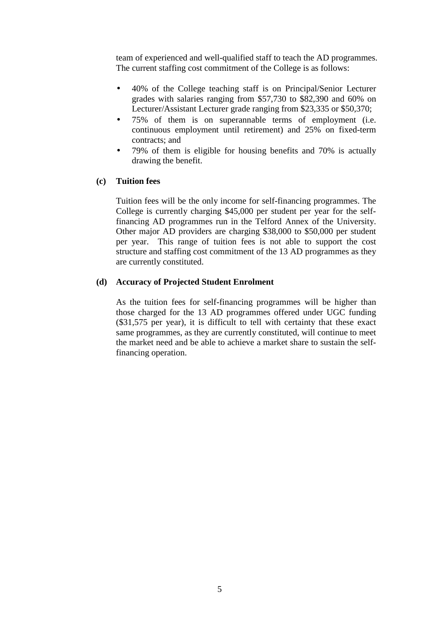team of experienced and well-qualified staff to teach the AD programmes. The current staffing cost commitment of the College is as follows:

- 40% of the College teaching staff is on Principal/Senior Lecturer grades with salaries ranging from \$57,730 to \$82,390 and 60% on Lecturer/Assistant Lecturer grade ranging from \$23,335 or \$50,370;
- 75% of them is on superannable terms of employment (i.e. continuous employment until retirement) and 25% on fixed-term contracts; and
- 79% of them is eligible for housing benefits and 70% is actually drawing the benefit.

### **(c) Tuition fees**

Tuition fees will be the only income for self-financing programmes. The College is currently charging \$45,000 per student per year for the selffinancing AD programmes run in the Telford Annex of the University. Other major AD providers are charging \$38,000 to \$50,000 per student per year. This range of tuition fees is not able to support the cost structure and staffing cost commitment of the 13 AD programmes as they are currently constituted.

#### **(d) Accuracy of Projected Student Enrolment**

As the tuition fees for self-financing programmes will be higher than those charged for the 13 AD programmes offered under UGC funding (\$31,575 per year), it is difficult to tell with certainty that these exact same programmes, as they are currently constituted, will continue to meet the market need and be able to achieve a market share to sustain the selffinancing operation.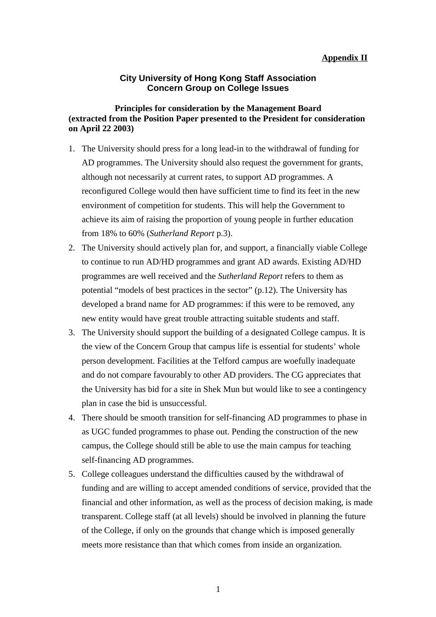## **City University of Hong Kong Staff Association Concern Group on College Issues**

### **Principles for consideration by the Management Board (extracted from the Position Paper presented to the President for consideration on April 22 2003)**

- 1. The University should press for a long lead-in to the withdrawal of funding for AD programmes. The University should also request the government for grants, although not necessarily at current rates, to support AD programmes. A reconfigured College would then have sufficient time to find its feet in the new environment of competition for students. This will help the Government to achieve its aim of raising the proportion of young people in further education from 18% to 60% (*Sutherland Report* p.3).
- 2. The University should actively plan for, and support, a financially viable College to continue to run AD/HD programmes and grant AD awards. Existing AD/HD programmes are well received and the *Sutherland Report* refers to them as potential "models of best practices in the sector" (p.12). The University has developed a brand name for AD programmes: if this were to be removed, any new entity would have great trouble attracting suitable students and staff.
- 3. The University should support the building of a designated College campus. It is the view of the Concern Group that campus life is essential for students' whole person development. Facilities at the Telford campus are woefully inadequate and do not compare favourably to other AD providers. The CG appreciates that the University has bid for a site in Shek Mun but would like to see a contingency plan in case the bid is unsuccessful.
- 4. There should be smooth transition for self-financing AD programmes to phase in as UGC funded programmes to phase out. Pending the construction of the new campus, the College should still be able to use the main campus for teaching self-financing AD programmes.
- 5. College colleagues understand the difficulties caused by the withdrawal of funding and are willing to accept amended conditions of service, provided that the financial and other information, as well as the process of decision making, is made transparent. College staff (at all levels) should be involved in planning the future of the College, if only on the grounds that change which is imposed generally meets more resistance than that which comes from inside an organization.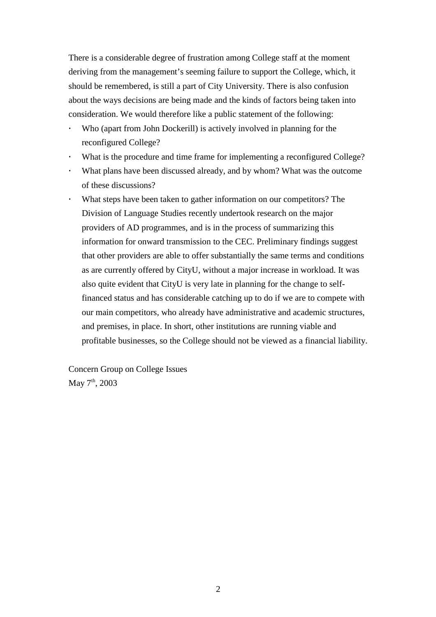There is a considerable degree of frustration among College staff at the moment deriving from the management's seeming failure to support the College, which, it should be remembered, is still a part of City University. There is also confusion about the ways decisions are being made and the kinds of factors being taken into consideration. We would therefore like a public statement of the following:

- Who (apart from John Dockerill) is actively involved in planning for the reconfigured College?
- ! What is the procedure and time frame for implementing a reconfigured College?
- What plans have been discussed already, and by whom? What was the outcome of these discussions?
- ! What steps have been taken to gather information on our competitors? The Division of Language Studies recently undertook research on the major providers of AD programmes, and is in the process of summarizing this information for onward transmission to the CEC. Preliminary findings suggest that other providers are able to offer substantially the same terms and conditions as are currently offered by CityU, without a major increase in workload. It was also quite evident that CityU is very late in planning for the change to selffinanced status and has considerable catching up to do if we are to compete with our main competitors, who already have administrative and academic structures, and premises, in place. In short, other institutions are running viable and profitable businesses, so the College should not be viewed as a financial liability.

Concern Group on College Issues May  $7<sup>th</sup>$ , 2003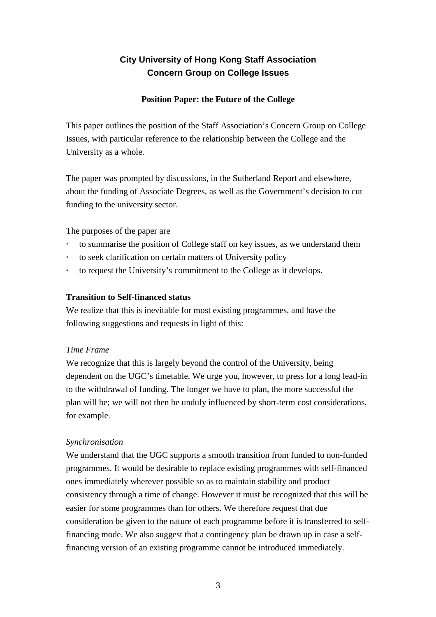# **City University of Hong Kong Staff Association Concern Group on College Issues**

## **Position Paper: the Future of the College**

This paper outlines the position of the Staff Association's Concern Group on College Issues, with particular reference to the relationship between the College and the University as a whole.

The paper was prompted by discussions, in the Sutherland Report and elsewhere, about the funding of Associate Degrees, as well as the Government's decision to cut funding to the university sector.

The purposes of the paper are

- ! to summarise the position of College staff on key issues, as we understand them
- ! to seek clarification on certain matters of University policy
- ! to request the University's commitment to the College as it develops.

### **Transition to Self-financed status**

We realize that this is inevitable for most existing programmes, and have the following suggestions and requests in light of this:

#### *Time Frame*

We recognize that this is largely beyond the control of the University, being dependent on the UGC's timetable. We urge you, however, to press for a long lead-in to the withdrawal of funding. The longer we have to plan, the more successful the plan will be; we will not then be unduly influenced by short-term cost considerations, for example.

#### *Synchronisation*

We understand that the UGC supports a smooth transition from funded to non-funded programmes. It would be desirable to replace existing programmes with self-financed ones immediately wherever possible so as to maintain stability and product consistency through a time of change. However it must be recognized that this will be easier for some programmes than for others. We therefore request that due consideration be given to the nature of each programme before it is transferred to selffinancing mode. We also suggest that a contingency plan be drawn up in case a selffinancing version of an existing programme cannot be introduced immediately.

3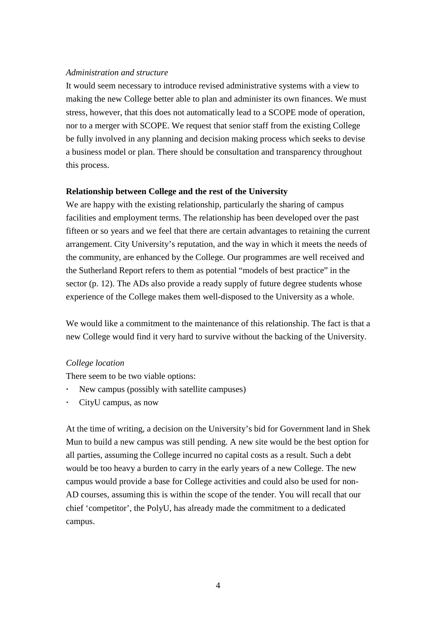#### *Administration and structure*

It would seem necessary to introduce revised administrative systems with a view to making the new College better able to plan and administer its own finances. We must stress, however, that this does not automatically lead to a SCOPE mode of operation, nor to a merger with SCOPE. We request that senior staff from the existing College be fully involved in any planning and decision making process which seeks to devise a business model or plan. There should be consultation and transparency throughout this process.

#### **Relationship between College and the rest of the University**

We are happy with the existing relationship, particularly the sharing of campus facilities and employment terms. The relationship has been developed over the past fifteen or so years and we feel that there are certain advantages to retaining the current arrangement. City University's reputation, and the way in which it meets the needs of the community, are enhanced by the College. Our programmes are well received and the Sutherland Report refers to them as potential "models of best practice" in the sector (p. 12). The ADs also provide a ready supply of future degree students whose experience of the College makes them well-disposed to the University as a whole.

We would like a commitment to the maintenance of this relationship. The fact is that a new College would find it very hard to survive without the backing of the University.

#### *College location*

There seem to be two viable options:

- New campus (possibly with satellite campuses)
- CityU campus, as now

At the time of writing, a decision on the University's bid for Government land in Shek Mun to build a new campus was still pending. A new site would be the best option for all parties, assuming the College incurred no capital costs as a result. Such a debt would be too heavy a burden to carry in the early years of a new College. The new campus would provide a base for College activities and could also be used for non-AD courses, assuming this is within the scope of the tender. You will recall that our chief 'competitor', the PolyU, has already made the commitment to a dedicated campus.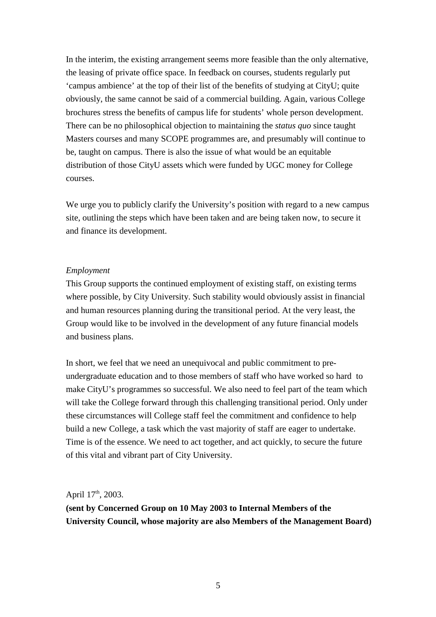In the interim, the existing arrangement seems more feasible than the only alternative, the leasing of private office space. In feedback on courses, students regularly put 'campus ambience' at the top of their list of the benefits of studying at CityU; quite obviously, the same cannot be said of a commercial building. Again, various College brochures stress the benefits of campus life for students' whole person development. There can be no philosophical objection to maintaining the *status quo* since taught Masters courses and many SCOPE programmes are, and presumably will continue to be, taught on campus. There is also the issue of what would be an equitable distribution of those CityU assets which were funded by UGC money for College courses.

We urge you to publicly clarify the University's position with regard to a new campus site, outlining the steps which have been taken and are being taken now, to secure it and finance its development.

#### *Employment*

This Group supports the continued employment of existing staff, on existing terms where possible, by City University. Such stability would obviously assist in financial and human resources planning during the transitional period. At the very least, the Group would like to be involved in the development of any future financial models and business plans.

In short, we feel that we need an unequivocal and public commitment to preundergraduate education and to those members of staff who have worked so hard to make CityU's programmes so successful. We also need to feel part of the team which will take the College forward through this challenging transitional period. Only under these circumstances will College staff feel the commitment and confidence to help build a new College, a task which the vast majority of staff are eager to undertake. Time is of the essence. We need to act together, and act quickly, to secure the future of this vital and vibrant part of City University.

April  $17^{\text{th}}$ , 2003.

**(sent by Concerned Group on 10 May 2003 to Internal Members of the University Council, whose majority are also Members of the Management Board)**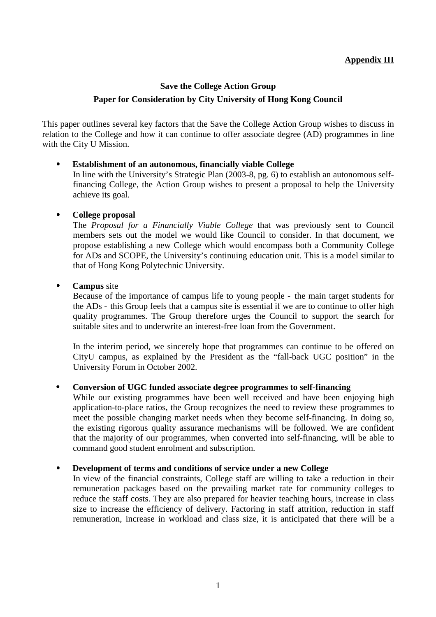## **Appendix III**

## **Save the College Action Group**

## **Paper for Consideration by City University of Hong Kong Council**

This paper outlines several key factors that the Save the College Action Group wishes to discuss in relation to the College and how it can continue to offer associate degree (AD) programmes in line with the City U Mission.

#### • **Establishment of an autonomous, financially viable College**

In line with the University's Strategic Plan (2003-8, pg. 6) to establish an autonomous selffinancing College, the Action Group wishes to present a proposal to help the University achieve its goal.

### • **College proposal**

The *Proposal for a Financially Viable College* that was previously sent to Council members sets out the model we would like Council to consider. In that document, we propose establishing a new College which would encompass both a Community College for ADs and SCOPE, the University's continuing education unit. This is a model similar to that of Hong Kong Polytechnic University.

### • **Campus** site

Because of the importance of campus life to young people - the main target students for the ADs - this Group feels that a campus site is essential if we are to continue to offer high quality programmes. The Group therefore urges the Council to support the search for suitable sites and to underwrite an interest-free loan from the Government.

In the interim period, we sincerely hope that programmes can continue to be offered on CityU campus, as explained by the President as the "fall-back UGC position" in the University Forum in October 2002.

#### • **Conversion of UGC funded associate degree programmes to self-financing**

While our existing programmes have been well received and have been enjoying high application-to-place ratios, the Group recognizes the need to review these programmes to meet the possible changing market needs when they become self-financing. In doing so, the existing rigorous quality assurance mechanisms will be followed. We are confident that the majority of our programmes, when converted into self-financing, will be able to command good student enrolment and subscription.

## • **Development of terms and conditions of service under a new College**

In view of the financial constraints, College staff are willing to take a reduction in their remuneration packages based on the prevailing market rate for community colleges to reduce the staff costs. They are also prepared for heavier teaching hours, increase in class size to increase the efficiency of delivery. Factoring in staff attrition, reduction in staff remuneration, increase in workload and class size, it is anticipated that there will be a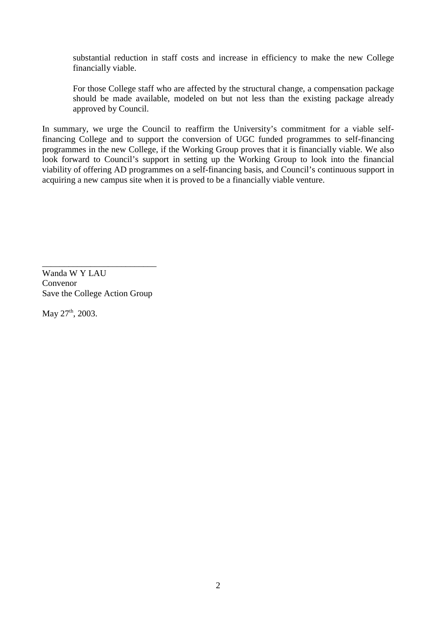substantial reduction in staff costs and increase in efficiency to make the new College financially viable.

For those College staff who are affected by the structural change, a compensation package should be made available, modeled on but not less than the existing package already approved by Council.

In summary, we urge the Council to reaffirm the University's commitment for a viable selffinancing College and to support the conversion of UGC funded programmes to self-financing programmes in the new College, if the Working Group proves that it is financially viable. We also look forward to Council's support in setting up the Working Group to look into the financial viability of offering AD programmes on a self-financing basis, and Council's continuous support in acquiring a new campus site when it is proved to be a financially viable venture.

Wanda W Y LAU Convenor Save the College Action Group

\_\_\_\_\_\_\_\_\_\_\_\_\_\_\_\_\_\_\_\_\_\_\_\_\_\_

May  $27^{\text{th}}$ , 2003.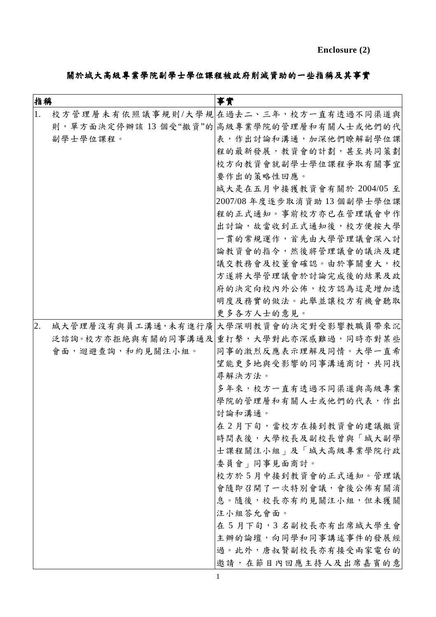## **Enclosure (2)**

關於城大高級專業學院副學士學位課程被政府削減資助的一些指稱及其事實

| 指稱 |                    | 事實                                         |
|----|--------------------|--------------------------------------------|
| 1. |                    | 校方管理層未有依照議事規則/大學規 在過去二、三年,校方一直有透過不同渠道與     |
|    |                    | 則,單方面決定停辦該 13 個受"撤資"的 高級專業學院的管理層和有關人士或他們的代 |
|    | 副學士學位課程。           | 表,作出討論和溝通,加深他們瞭解副學位課                       |
|    |                    | 程的最新發展,教資會的計劃,甚至共同策劃                       |
|    |                    | 校方向教資會就副學士學位課程爭取有關事宜                       |
|    |                    | 要作出的策略性回應。                                 |
|    |                    | 城大是在五月中接獲教資會有關於 2004/05 至                  |
|    |                    | 2007/08年度逐步取消資助13個副學士學位課                   |
|    |                    | 程的正式通知。事前校方亦已在管理議會中作                       |
|    |                    | 出討論,故當收到正式通知後,校方便按大學                       |
|    |                    | 一貫的常規運作,首先由大學管理議會深入討                       |
|    |                    | 論教資會的指令,然後將管理議會的議決及建                       |
|    |                    | 議交教務會及校董會確認。由於事關重大,校                       |
|    |                    | 方遂將大學管理議會於討論完成後的結果及政                       |
|    |                    | 府的決定向校內外公佈,校方認為這是增加透                       |
|    |                    | 明度及務實的做法。此舉並讓校方有機會聽取                       |
|    |                    | 更多各方人士的意見。                                 |
| 2. | 城大管理層沒有與員工溝通,未有進行廣 | 大學深明教資會的決定對受影響教職員帶來沉                       |
|    | 泛諮詢。校方亦拒絶與有關的同事溝通及 | 重打擊,大學對此亦深感難過,同時亦對某些                       |
|    | 會面,迴避查詢,和約見關注小組。   | 同事的激烈反應表示理解及同情。大學一直希                       |
|    |                    | 望能更多地與受影響的同事溝通商討,共同找                       |
|    |                    | 尋解決方法。                                     |
|    |                    | 多年來,校方一直有透過不同渠道與高級專業                       |
|    |                    | 學院的管理層和有關人士或他們的代表,作出                       |
|    |                    | 討論和溝通。                                     |
|    |                    | 在2月下旬,當校方在接到教資會的建議撤資                       |
|    |                    | 時間表後,大學校長及副校長曾與「城大副學                       |
|    |                    | 士課程關注小組 , 及「城大高級專業學院行政                     |
|    |                    | 委員會」同事見面商討。                                |
|    |                    | 校方於5月中接到教資會的正式通知。管理議                       |
|    |                    | 會隨即召開了一次特別會議,會後公佈有關消                       |
|    |                    | 息。隨後,校長亦有約見關注小組,但未獲關                       |
|    |                    | 注小組答允會面。                                   |
|    |                    | 在 5 月下旬,3 名副校長亦有出席城大學生會                    |
|    |                    | 主辦的論壇,向同學和同事講述事件的發展經                       |
|    |                    | 過。此外,唐叔賢副校長亦有接受兩家電台的                       |
|    |                    | 邀請,在節目內回應主持人及出席嘉賓的意                        |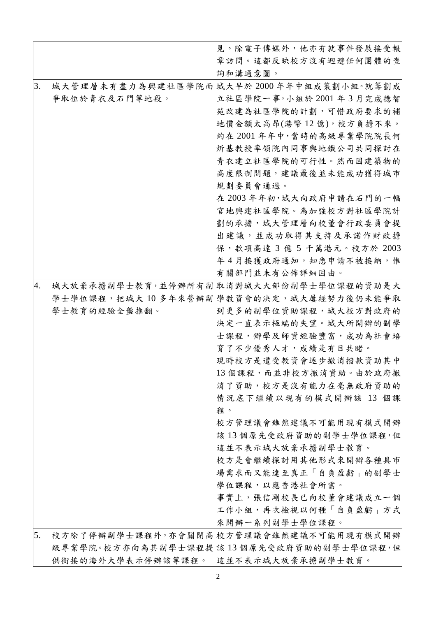|    |                   | 見。除電子傳媒外,他亦有就事件發展接受報                        |
|----|-------------------|---------------------------------------------|
|    |                   | 章訪問。這都反映校方沒有迴避任何團體的查                        |
|    |                   | 詢和溝通意圖。                                     |
| 3. |                   | 城大管理層未有盡力為興建社區學院而 城大早於 2000 年年中組成策劃小組。就籌劃成  |
|    | 爭取位於青衣及石門等地段。     | 立社區學院一事,小組於 2001 年 3 月完成德智                  |
|    |                   | 苑改建為社區學院的計劃,可惜政府要求的補                        |
|    |                   | 地價金額太高昂(港幣12億),校方負擔不來。                      |
|    |                   | 約在 2001年年中,當時的高級專業學院院長何                     |
|    |                   | 炘基教授率領院內同事與地鐵公司共同探討在                        |
|    |                   | 青衣建立社區學院的可行性。然而因建築物的                        |
|    |                   | 高度限制問題,建議最後並未能成功獲得城市                        |
|    |                   | 規劃委員會通過。                                    |
|    |                   | 在 2003年年初, 城大向政府申請在石門的一幅                    |
|    |                   | 官地興建社區學院。為加強校方對社區學院計                        |
|    |                   | 劃的承擔,城大管理層向校董會行政委員會提                        |
|    |                   | 出建議,並成功取得其支持及承諾作財政擔                         |
|    |                   | 保,款項高達 3 億 5 千萬港元。校方於 2003                  |
|    |                   | 年4月接獲政府通知,知悉申請不被接納,惟                        |
|    |                   | 有關部門並未有公佈詳細因由。                              |
| 4. |                   | 城大放棄承擔副學士教育,並停辦所有副 取消對城大大部份副學士學位課程的資助是大     |
|    |                   | 學士學位課程,把城大 10 多年來營辦副 學教資會的決定,城大屢經努力後仍未能爭取   |
|    | 學士教育的經驗全盤推翻。      | 到更多的副學位資助課程, 城大校方對政府的                       |
|    |                   | 決定一直表示極端的失望。城大所開辦的副學                        |
|    |                   |                                             |
|    |                   | 士課程,辦學及師資經驗豐富,成功為社會培                        |
|    |                   | 育了不少優秀人才,成績是有目共睹。                           |
|    |                   | 現時校方是遭受教資會逐步撤消撥款資助其中                        |
|    |                   | 13個課程,而並非校方撤消資助。由於政府撤                       |
|    |                   | 消了資助,校方是沒有能力在毫無政府資助的                        |
|    |                   | 情況底下繼續以現有的模式開辦該 13 個課                       |
|    |                   | 程。                                          |
|    |                   | 校方管理議會雖然建議不可能用現有模式開辦                        |
|    |                   | 該13個原先受政府資助的副學士學位課程,但                       |
|    |                   | 這並不表示城大放棄承擔副學士教育。                           |
|    |                   | 校方是會繼續探討用其他形式來開辦各種具市                        |
|    |                   | 場需求而又能達至真正「自負盈虧」的副學士                        |
|    |                   | 學位課程,以應香港社會所需。                              |
|    |                   | 事實上,張信剛校長已向校董會建議成立一個                        |
|    |                   | 工作小組,再次檢視以何種   自負盈虧」方式                      |
|    |                   | 來開辦一系列副學士學位課程。                              |
| 5. |                   | 校方除了停辦副學士課程外,亦會關閉高 校方管理議會雖然建議不可能用現有模式開辦     |
|    |                   | 級專業學院。校方亦向為其副學士課程提 该 13 個原先受政府資助的副學士學位課程, 但 |
|    | 供銜接的海外大學表示停辦該等課程。 | 這並不表示城大放棄承擔副學士教育。                           |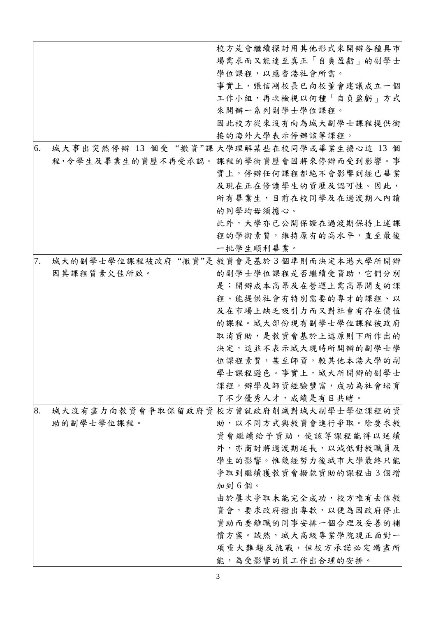|    |                     | 校方是會繼續探討用其他形式來開辦各種具市                       |
|----|---------------------|--------------------------------------------|
|    |                     | 場需求而又能達至真正「自負盈虧」的副學士                       |
|    |                     | 學位課程,以應香港社會所需。                             |
|    |                     | 事實上,張信剛校長已向校董會建議成立一個                       |
|    |                     | 工作小組,再次檢視以何種「自負盈虧」方式                       |
|    |                     | 來開辦一系列副學士學位課程。                             |
|    |                     | 因此校方從來沒有向為城大副學士課程提供銜                       |
|    |                     | 接的海外大學表示停辦該等課程。                            |
| 6. |                     | 城大事出突然停辦 13 個受"撤資"課 大學理解某些在校同學或畢業生擔心這 13 個 |
|    | 程, 令學生及畢業生的資歷不再受承認。 | 課程的學術資歷會因將來停辦而受到影響。事                       |
|    |                     | 實上,停辦任何課程都絶不會影響到經已畢業                       |
|    |                     | 及現在正在修讀學生的資歷及認可性。因此,                       |
|    |                     | 所有畢業生,目前在校同學及在過渡期入內讀                       |
|    |                     | 的同學均毋須擔心。                                  |
|    |                     | 此外,大學亦已公開保證在過渡期保持上述課                       |
|    |                     | 程的學術素質,維持原有的高水平,直至最後                       |
|    |                     | 一批學生順利畢業。                                  |
| 7. |                     | 城大的副學士學位課程被政府"撤資"是 教資會是基於3個準則而決定本港大學所開辦    |
|    | 因其課程質素欠佳所致。         | 的副學士學位課程是否繼續受資助,它們分別                       |
|    |                     | 是:開辦成本高昂及在營運上需高昂開支的課                       |
|    |                     | 程、能提供社會有特別需要的專才的課程、以                       |
|    |                     |                                            |
|    |                     | 及在市場上缺乏吸引力而又對社會有存在價值                       |
|    |                     | 的課程。城大部份現有副學士學位課程被政府                       |
|    |                     | 取消資助,是教資會基於上述原則下所作出的                       |
|    |                     | 決定,這並不表示城大現時所開辦的副學士學                       |
|    |                     | 位課程素質,甚至師資,較其他本港大學的副                       |
|    |                     | 學士課程遜色。事實上,城大所開辦的副學士                       |
|    |                     | 課程,辦學及師資經驗豐富,成功為社會培育                       |
|    |                     | 了不少優秀人才, 成績是有目共睹。                          |
| 8. |                     | 城大沒有盡力向教資會爭取保留政府資校方曾就政府削減對城大副學士學位課程的資      |
|    | 助的副學士學位課程。          | 助,以不同方式與教資會進行爭取。除要求教                       |
|    |                     | 資會繼續給予資助,使該等課程能得以延續                        |
|    |                     | 外,亦商討將過渡期延長,以減低對教職員及                       |
|    |                     | 學生的影響。惟幾經努力後城市大學最終只能                       |
|    |                     | 爭取到繼續獲教資會撥款資助的課程由3個增                       |
|    |                     | 加到6個。                                      |
|    |                     | 由於屢次爭取未能完全成功, 校方唯有去信教                      |
|    |                     | 資會,要求政府撥出專款,以便為因政府停止                       |
|    |                     | 資助而要離職的同事安排一個合理及妥善的補                       |
|    |                     | 償方案。誠然,城大高級專業學院現正面對一                       |
|    |                     | 項重大難題及挑戰,但校方承諾必定竭盡所                        |
|    |                     | 能,為受影響的員工作出合理的安排。                          |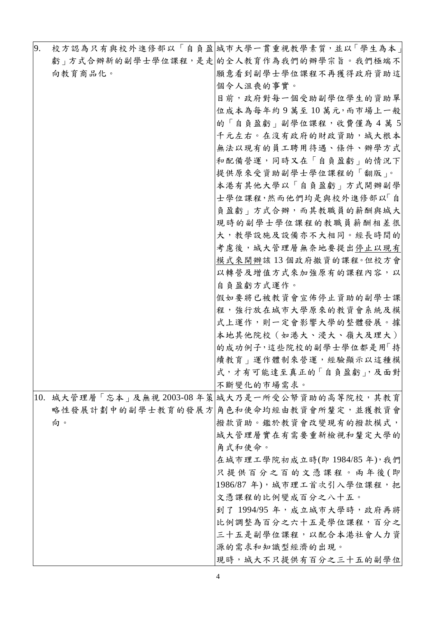| 9. |         | 校方認為只有與校外進修部以「自負盈 城市大學一貫重視教學素質,並以「學生為本」          |
|----|---------|--------------------------------------------------|
|    |         | 虧   方式合辦新的副學士學位課程,是走 的全人教育作為我們的辦學宗旨。我們極端不        |
|    | 向教育商品化。 | 願意看到副學士學位課程不再獲得政府資助這                             |
|    |         | 個令人沮喪的事實。                                        |
|    |         | 目前,政府對每一個受助副學位學生的資助單                             |
|    |         | 位成本為每年約9萬至10萬元,而市場上一般                            |
|    |         | 的「自負盈虧」副學位課程,收費僅為4萬5                             |
|    |         | 千元左右。在沒有政府的財政資助, 城大根本                            |
|    |         | 無法以現有的員工聘用待遇、條件、辦學方式                             |
|    |         | 和配備營運,同時又在「自負盈虧」的情況下                             |
|    |         | 提供原來受資助副學士學位課程的「翻版」。                             |
|    |         | 本港有其他大學以「自負盈虧」方式開辦副學                             |
|    |         | 士學位課程,然而他們均是與校外進修部以「自                            |
|    |         | 負盈虧 - 方式合辦, 而其教職員的薪酬與城大                          |
|    |         | 現時的副學士學位課程的教職員薪酬相差很                              |
|    |         | 大,教學設施及設備亦不大相同。經長時間的                             |
|    |         | 考慮後,城大管理層無奈地要提出停止以現有                             |
|    |         | 模式來開辦該13個政府撤資的課程。但校方會                            |
|    |         | 以轉營及增值方式來加強原有的課程內容,以                             |
|    |         | 自負盈虧方式運作。                                        |
|    |         | 假如要將已被教資會宣佈停止資助的副學士課                             |
|    |         | 程,強行放在城市大學原來的教資會系統及模                             |
|    |         | 式上運作,則一定會影響大學的整體發展。據                             |
|    |         | 本地其他院校(如港大、浸大、嶺大及理大)                             |
|    |         | 的成功例子,這些院校的副學士學位都是用「持                            |
|    |         | 續教育 運作體制來營運,經驗顯示以這種模                             |
|    |         | 式,才有可能達至真正的「自負盈虧」,及面對                            |
|    |         | 不斷變化的市場需求。                                       |
|    |         | 10. 城大管理層「忘本」及無視 2003-08 年策 城大乃是一所受公帑資助的高等院校,其教育 |
|    |         | 略性發展計劃中的副學士教育的發展方 角色和使命均經由教資會所釐定,並獲教資會           |
|    | 向。      | 撥款資助。鑑於教資會改變現有的撥款模式,                             |
|    |         | 城大管理層實在有需要重新檢視和釐定大學的                             |
|    |         | 角式和使命。                                           |
|    |         | 在城市理工學院初成立時(即 1984/85 年), 我們                     |
|    |         | 只提供百分之百的文憑課程。兩年後(即                               |
|    |         | 1986/87 年), 城市理工首次引入學位課程, 把                      |
|    |         | 文憑課程的比例變成百分之八十五。                                 |
|    |         | 到了 1994/95 年,成立城市大學時,政府再將                        |
|    |         | 比例調整為百分之六十五是學位課程,百分之                             |
|    |         | 三十五是副學位課程,以配合本港社會人力資                             |
|    |         | 源的需求和知識型經濟的出現。                                   |
|    |         | 現時,城大不只提供有百分之三十五的副學位                             |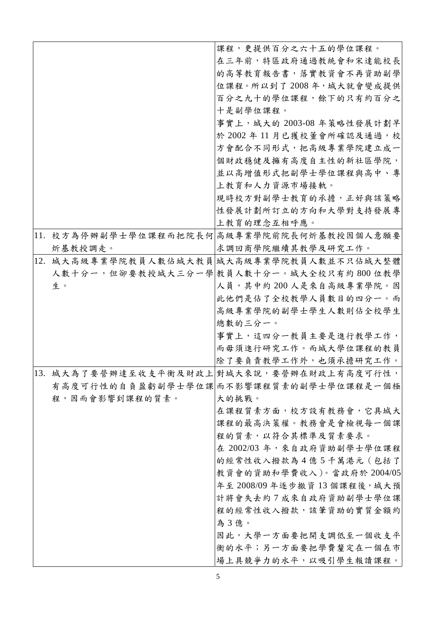|                | 課程,更提供百分之六十五的學位課程。                         |
|----------------|--------------------------------------------|
|                | 在三年前, 特區政府通過教統會和宋達能校長                      |
|                | 的高等教育報告書,落實教資會不再資助副學                       |
|                | 位課程。所以到了2008年, 城大就會變成提供                    |
|                | 百分之九十的學位課程,餘下的只有約百分之                       |
|                | 十是副學位課程。                                   |
|                | 事實上,城大的 2003-08 年策略性發展計劃早                  |
|                | 於 2002年11月已獲校董會所確認及通過,校                    |
|                | 方會配合不同形式,把高級專業學院建立成一                       |
|                | 個財政穩健及擁有高度自主性的新社區學院,                       |
|                | 並以高增值形式把副學士學位課程與高中、專                       |
|                | 上教育和人力資源市場接軌。                              |
|                | 現時校方對副學士教育的承擔,正好與該策略                       |
|                | 性發展計劃所訂立的方向和大學對支持發展專                       |
|                | 上教育的理念互相呼應。                                |
|                | 11. 校方為停辦副學士學位課程而把院長何 高級專業學院前院長何炘基教授因個人意願要 |
| 炘基教授調走。        | 求調回商學院繼續其教學及研究工作。                          |
| 12.            | 城大高級專業學院教員人數佔城大教員 城大高級專業學院教員人數並不只佔城大整體     |
|                | 人數十分一,但卻要教授城大三分一學 教員人數十分一。城大全校只有約800 位教學   |
| 生。             | 人員,其中約200人是來自高級專業學院。因                      |
|                | 此他們是佔了全校教學人員數目的四分一。而                       |
|                | 高級專業學院的副學士學生人數則佔全校學生                       |
|                | 總數的三分一。                                    |
|                | 事實上,這四分一教員主要是進行教學工作,                       |
|                | 而毋須進行研究工作。而城大學位課程的教員                       |
|                | 除了要負責教學工作外,也須承擔研究工作。                       |
| 13.            | 城大為了要營辦達至收支平衡及財政上 對城大來說,要營辦在財政上有高度可行性,     |
|                | 有高度可行性的自負盈虧副學士學位課 而不影響課程質素的副學士學位課程是一個極     |
| 程,因而會影響到課程的質素。 | 大的挑戰。                                      |
|                | 在課程質素方面, 校方設有教務會, 它具城大                     |
|                | 課程的最高決策權。教務會是會檢視每一個課                       |
|                | 程的質素,以符合其標準及質素要求。                          |
|                | 在 2002/03 年, 來自政府資助副學士學位課程                 |
|                | 的經常性收入撥款為4億5千萬港元 (包括了                      |
|                | 教資會的資助和學費收入)。當政府於 2004/05                  |
|                | 年至 2008/09 年逐步撤資 13 個課程後, 城大預              |
|                | 計將會失去約7成來自政府資助副學士學位課                       |
|                | 程的經常性收入撥款,該筆資助的實質金額約                       |
|                | 為3億。                                       |
|                | 因此,大學一方面要把開支調低至一個收支平                       |
|                | 衡的水平;另一方面要把學費釐定在一個在市                       |
|                | 場上具競爭力的水平,以吸引學生報讀課程。                       |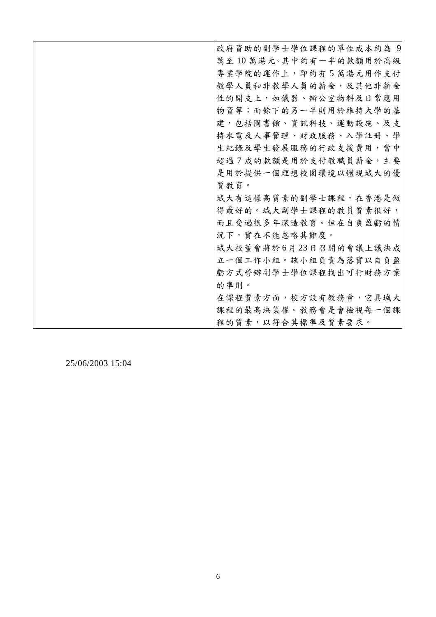| 政府資助的副學士學位課程的單位成本約為 9  |
|------------------------|
| 萬至10萬港元。其中約有一半的款額用於高級  |
| 專業學院的運作上,即約有5萬港元用作支付   |
| 教學人員和非教學人員的薪金,及其他非薪金   |
| 性的開支上,如儀器、辦公室物料及日常應用   |
| 物資等;而餘下的另一半則用於維持大學的基   |
| 建,包括圖書館、資訊科技、運動設施、及支   |
| 持水電及人事管理、財政服務、入學註冊、學   |
| 生紀錄及學生發展服務的行政支援費用,當中   |
| 超過7成的款額是用於支付教職員薪金,主要   |
| 是用於提供一個理想校園環境以體現城大的優   |
| 質教育。                   |
| 城大有這樣高質素的副學士課程,在香港是做   |
| 得最好的。城大副學士課程的教員質素很好,   |
| 而且受過很多年深造教育。但在自負盈虧的情   |
| 況下, 實在不能忽略其難度。         |
| 城大校董會將於6月23日召開的會議上議決成  |
| 立一個工作小組。該小組負責為落實以自負盈   |
| 虧方式營辦副學士學位課程找出可行財務方案   |
| 的準則。                   |
| 在課程質素方面, 校方設有教務會, 它具城大 |
| 課程的最高決策權。教務會是會檢視每一個課   |
| 程的質素,以符合其標準及質素要求。      |
|                        |

25/06/2003 15:04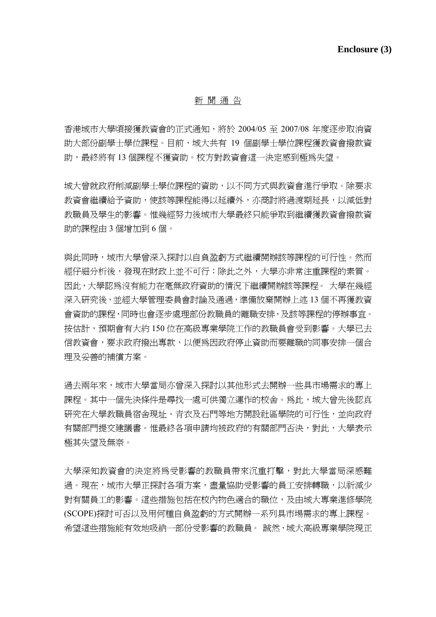#### 新 聞 通 告

香港城市大學頃接獲教資會的正式通知,將於 2004/05 至 2007/08 年度逐步取消資 助大部份副學士學位課程。目前,城大共有 19 個副學士學位課程獲教資會撥款資 助,最終將有 13 個課程不獲資助。校方對教資會這一決定感到極為失望。

城大曾就政府削減副學士學位課程的資助,以不同方式與教資會進行爭取。除要求 教資會繼續給予資助,使該等課程能得以延續外,亦商討將過渡期延長,以減低對 教職員及學生的影響。惟幾經努力後城市大學最終只能爭取到繼續獲教資會撥款資 助的課程由 3 個增加到 6 個。

與此同時,城市大學曾深入探討以自負盈虧方式繼續開辦該等課程的可行性。然而 經仔細分析後,發現在財政上並不可行;除此之外,大學亦非常注重課程的素質。 因此,大學認為沒有能力在毫無政府資助的情況下繼續開辦該等課程。 大學在幾經 深入研究後,並經大學管理委員會討論及通過,準備放棄開辦上述 13 個不再獲教資 會資助的課程,同時也會逐步處理部份教職員的離職安排,及該等課程的停辦事宜。 按估計,預期會有大約 150 位在高級專業學院工作的教職員會受到影響。大學已去 信教資會,要求政府撥出專款,以便為因政府停止資助而要離職的同事安排一個合 理及妥善的補償方案。

過去兩年來,城市大學當局亦曾深入探討以其他形式去開辦一些具市場需求的專上 課程。其中一個先決條件是尋找一處可供獨立運作的校舍。為此,城大曾先後認真 研究在大學教職員宿舍現址、青衣及石門等地方開設社區學院的可行性,並向政府 有關部門提交建議書。惟最終各項申請均被政府的有關部門否決,對此,大學表示 極其失望及無奈。

大學深知教資會的決定將為受影響的教職員帶來沉重打擊,對此大學當局深感難 過。現在,城市大學正探討各項方案,盡量協助受影響的員工安排轉職,以祈減少 對有關員工的影響。這些措施包括在校內物色適合的職位,及由城大專業進修學院 (SCOPE)探討可否以及用何種自負盈虧的方式開辦一系列具市埸需求的專上課程。 希望這些措施能有效地吸納一部份受影響的教職員。 誠然,城大高級專業學院現正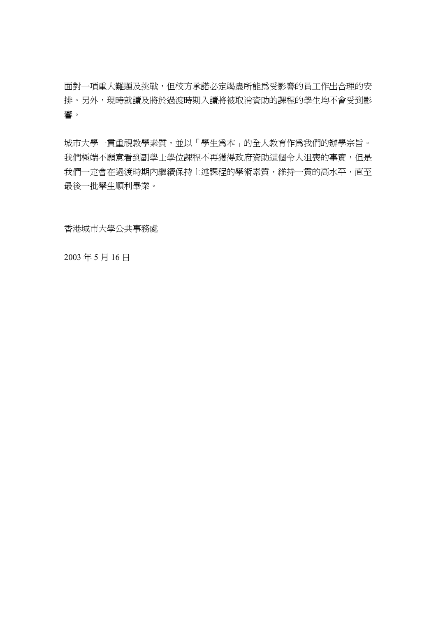面對一項重大難題及挑戰,但校方承諾必定竭盡所能為受影響的員工作出合理的安 排。另外,現時就讀及將於過渡時期入讀將被取消資助的課程的學生均不會受到影 響。

城市大學一貫重視教學素質,並以「學生為本」的全人教育作為我們的辦學宗旨。 我們極端不願意看到副學士學位課程不再獲得政府資助這個令人沮喪的事實,但是 我們一定會在過渡時期內繼續保持上述課程的學術素質,維持一貫的高水平,直至 最後一批學生順利畢業。

香港城市大學公共事務處

2003 年 5 月 16 日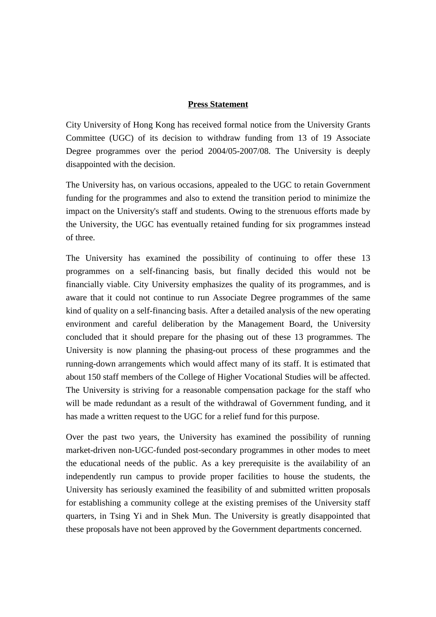#### **Press Statement**

City University of Hong Kong has received formal notice from the University Grants Committee (UGC) of its decision to withdraw funding from 13 of 19 Associate Degree programmes over the period 2004/05-2007/08. The University is deeply disappointed with the decision.

The University has, on various occasions, appealed to the UGC to retain Government funding for the programmes and also to extend the transition period to minimize the impact on the University's staff and students. Owing to the strenuous efforts made by the University, the UGC has eventually retained funding for six programmes instead of three.

The University has examined the possibility of continuing to offer these 13 programmes on a self-financing basis, but finally decided this would not be financially viable. City University emphasizes the quality of its programmes, and is aware that it could not continue to run Associate Degree programmes of the same kind of quality on a self-financing basis. After a detailed analysis of the new operating environment and careful deliberation by the Management Board, the University concluded that it should prepare for the phasing out of these 13 programmes. The University is now planning the phasing-out process of these programmes and the running-down arrangements which would affect many of its staff. It is estimated that about 150 staff members of the College of Higher Vocational Studies will be affected. The University is striving for a reasonable compensation package for the staff who will be made redundant as a result of the withdrawal of Government funding, and it has made a written request to the UGC for a relief fund for this purpose.

Over the past two years, the University has examined the possibility of running market-driven non-UGC-funded post-secondary programmes in other modes to meet the educational needs of the public. As a key prerequisite is the availability of an independently run campus to provide proper facilities to house the students, the University has seriously examined the feasibility of and submitted written proposals for establishing a community college at the existing premises of the University staff quarters, in Tsing Yi and in Shek Mun. The University is greatly disappointed that these proposals have not been approved by the Government departments concerned.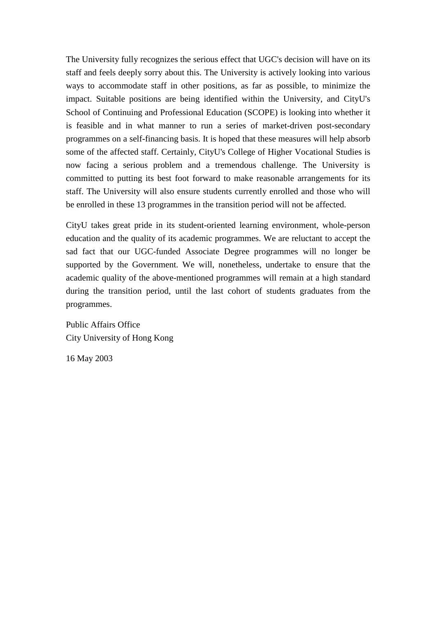The University fully recognizes the serious effect that UGC's decision will have on its staff and feels deeply sorry about this. The University is actively looking into various ways to accommodate staff in other positions, as far as possible, to minimize the impact. Suitable positions are being identified within the University, and CityU's School of Continuing and Professional Education (SCOPE) is looking into whether it is feasible and in what manner to run a series of market-driven post-secondary programmes on a self-financing basis. It is hoped that these measures will help absorb some of the affected staff. Certainly, CityU's College of Higher Vocational Studies is now facing a serious problem and a tremendous challenge. The University is committed to putting its best foot forward to make reasonable arrangements for its staff. The University will also ensure students currently enrolled and those who will be enrolled in these 13 programmes in the transition period will not be affected.

CityU takes great pride in its student-oriented learning environment, whole-person education and the quality of its academic programmes. We are reluctant to accept the sad fact that our UGC-funded Associate Degree programmes will no longer be supported by the Government. We will, nonetheless, undertake to ensure that the academic quality of the above-mentioned programmes will remain at a high standard during the transition period, until the last cohort of students graduates from the programmes.

Public Affairs Office City University of Hong Kong

16 May 2003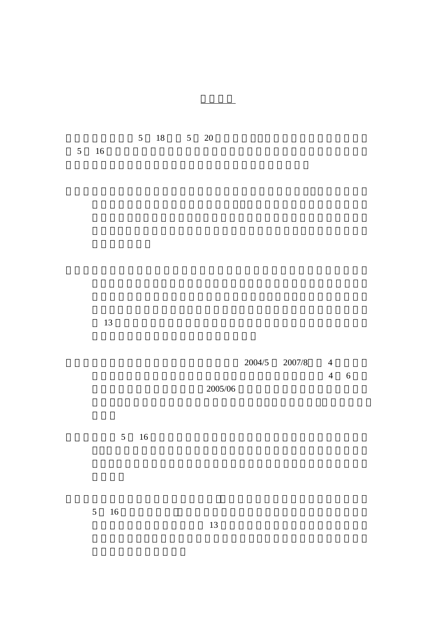$5 \t 18 \t 5 \t 20$ 

 $5 \t16$ 

 $13$ 

|  | 2004/5 2007/8 4 |            |  |
|--|-----------------|------------|--|
|  |                 | $4\quad 6$ |  |

步停辦受影響課程。換言之,2005/06 才影響到第一批同事,距今仍有兩

新聞學

 $5 \t16$ 

 $5 \t16$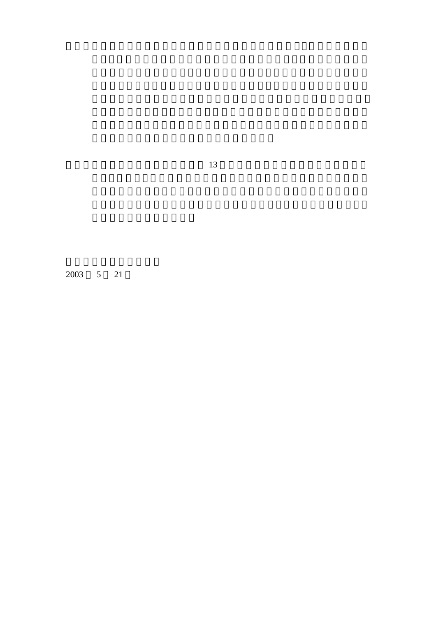5 21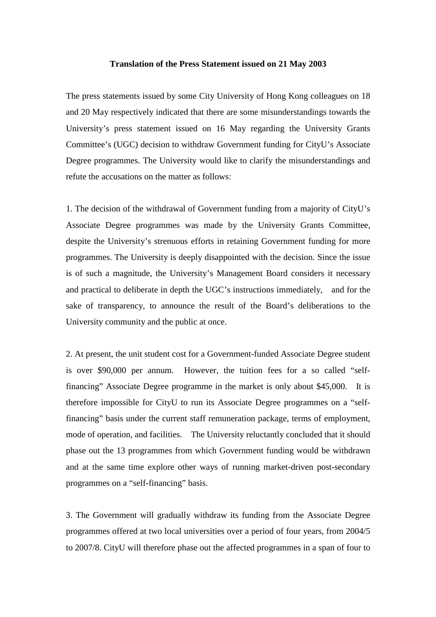#### **Translation of the Press Statement issued on 21 May 2003**

The press statements issued by some City University of Hong Kong colleagues on 18 and 20 May respectively indicated that there are some misunderstandings towards the University's press statement issued on 16 May regarding the University Grants Committee's (UGC) decision to withdraw Government funding for CityU's Associate Degree programmes. The University would like to clarify the misunderstandings and refute the accusations on the matter as follows:

1. The decision of the withdrawal of Government funding from a majority of CityU's Associate Degree programmes was made by the University Grants Committee, despite the University's strenuous efforts in retaining Government funding for more programmes. The University is deeply disappointed with the decision. Since the issue is of such a magnitude, the University's Management Board considers it necessary and practical to deliberate in depth the UGC's instructions immediately, and for the sake of transparency, to announce the result of the Board's deliberations to the University community and the public at once.

2. At present, the unit student cost for a Government-funded Associate Degree student is over \$90,000 per annum. However, the tuition fees for a so called "selffinancing" Associate Degree programme in the market is only about \$45,000. It is therefore impossible for CityU to run its Associate Degree programmes on a "selffinancing" basis under the current staff remuneration package, terms of employment, mode of operation, and facilities. The University reluctantly concluded that it should phase out the 13 programmes from which Government funding would be withdrawn and at the same time explore other ways of running market-driven post-secondary programmes on a "self-financing" basis.

3. The Government will gradually withdraw its funding from the Associate Degree programmes offered at two local universities over a period of four years, from 2004/5 to 2007/8. CityU will therefore phase out the affected programmes in a span of four to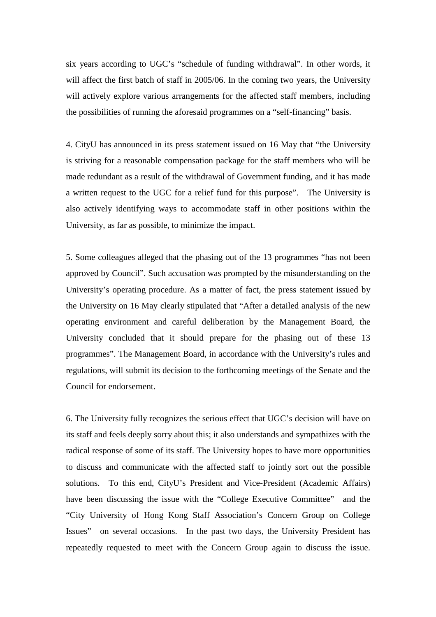six years according to UGC's "schedule of funding withdrawal". In other words, it will affect the first batch of staff in 2005/06. In the coming two years, the University will actively explore various arrangements for the affected staff members, including the possibilities of running the aforesaid programmes on a "self-financing" basis.

4. CityU has announced in its press statement issued on 16 May that "the University is striving for a reasonable compensation package for the staff members who will be made redundant as a result of the withdrawal of Government funding, and it has made a written request to the UGC for a relief fund for this purpose". The University is also actively identifying ways to accommodate staff in other positions within the University, as far as possible, to minimize the impact.

5. Some colleagues alleged that the phasing out of the 13 programmes "has not been approved by Council". Such accusation was prompted by the misunderstanding on the University's operating procedure. As a matter of fact, the press statement issued by the University on 16 May clearly stipulated that "After a detailed analysis of the new operating environment and careful deliberation by the Management Board, the University concluded that it should prepare for the phasing out of these 13 programmes". The Management Board, in accordance with the University's rules and regulations, will submit its decision to the forthcoming meetings of the Senate and the Council for endorsement.

6. The University fully recognizes the serious effect that UGC's decision will have on its staff and feels deeply sorry about this; it also understands and sympathizes with the radical response of some of its staff. The University hopes to have more opportunities to discuss and communicate with the affected staff to jointly sort out the possible solutions. To this end, CityU's President and Vice-President (Academic Affairs) have been discussing the issue with the "College Executive Committee" and the "City University of Hong Kong Staff Association's Concern Group on College Issues" on several occasions. In the past two days, the University President has repeatedly requested to meet with the Concern Group again to discuss the issue.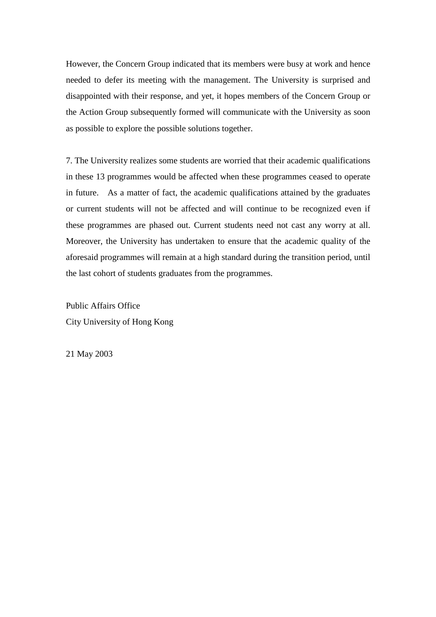However, the Concern Group indicated that its members were busy at work and hence needed to defer its meeting with the management. The University is surprised and disappointed with their response, and yet, it hopes members of the Concern Group or the Action Group subsequently formed will communicate with the University as soon as possible to explore the possible solutions together.

7. The University realizes some students are worried that their academic qualifications in these 13 programmes would be affected when these programmes ceased to operate in future. As a matter of fact, the academic qualifications attained by the graduates or current students will not be affected and will continue to be recognized even if these programmes are phased out. Current students need not cast any worry at all. Moreover, the University has undertaken to ensure that the academic quality of the aforesaid programmes will remain at a high standard during the transition period, until the last cohort of students graduates from the programmes.

Public Affairs Office City University of Hong Kong

21 May 2003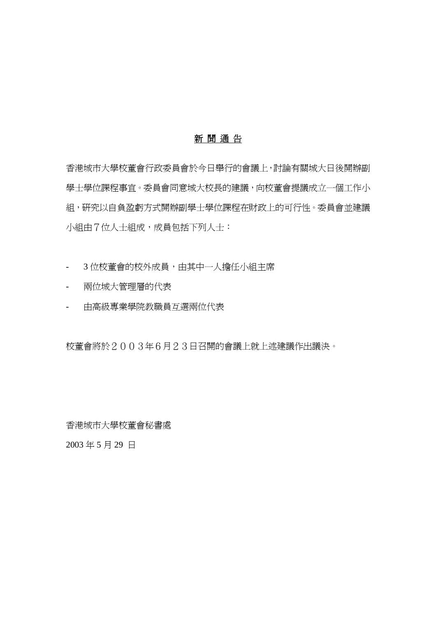## 新 聞 通 告

香港城市大學校董會行政委員會於今日舉行的會議㆖,討論有關城大日後開辦副 學士學位課程事宜。委員會同意城大校長的建議,向校董會提議成立一個工作小 組,研究以自負盈虧方式開辦副學士學位課程在財政上的可行性。委員會並建議 小組由7位人士組成,成員包括下列人士:

- 3位校董會的校外成員,由其中一人擔任小組主席
- 兩位城大管理層的代表
- 由高級專業學院教職員互選兩位代表

校董會將於2003年6月23日召開的會議上就上述建議作出議決。

香港城市大學校董會秘書處

2003 年 5 月 29 日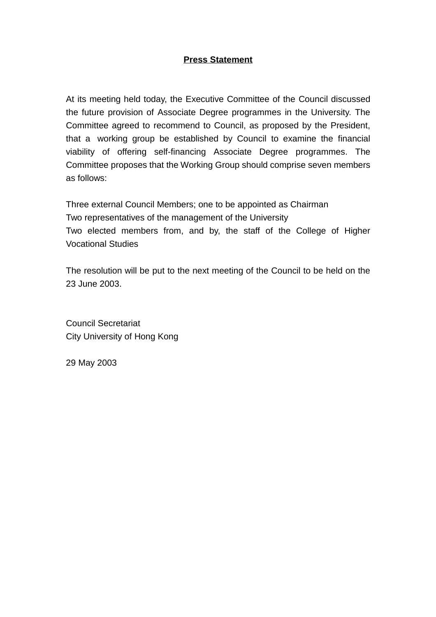## **Press Statement**

At its meeting held today, the Executive Committee of the Council discussed the future provision of Associate Degree programmes in the University. The Committee agreed to recommend to Council, as proposed by the President, that a working group be established by Council to examine the financial viability of offering self-financing Associate Degree programmes. The Committee proposes that the Working Group should comprise seven members as follows:

Three external Council Members; one to be appointed as Chairman Two representatives of the management of the University Two elected members from, and by, the staff of the College of Higher Vocational Studies

The resolution will be put to the next meeting of the Council to be held on the 23 June 2003.

Council Secretariat City University of Hong Kong

29 May 2003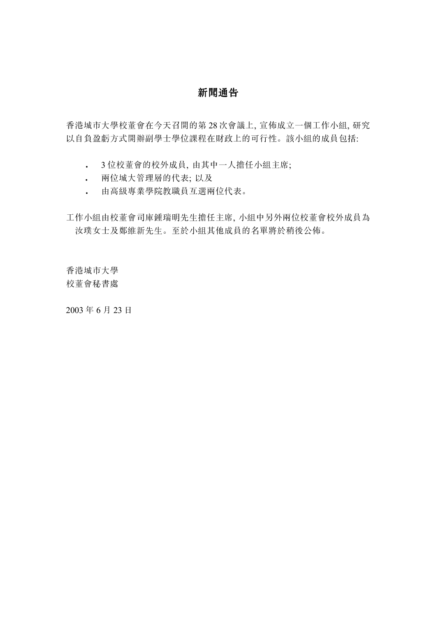# 新聞通告

香港城市大學校董會在今天召開的第 28 次會議上, 宣佈成立一個工作小組, 研究 以自負盈虧方式開辦副學士學位課程在財政上的可行性。該小組的成員包括:

- 3 位校董會的校外成員, 由其中一人擔任小組主席;
- 兩位城大管理層的代表; 以及
- 由高級專業學院教職員互選兩位代表。
- 工作小組由校董會司庫鍾瑞明先生擔任主席, 小組中另外兩位校董會校外成員為 汝璞女士及鄭維新先生。至於小組其他成員的名單將於稍後公佈。

香港城市大學 校董會秘書處

2003 年 6 月 23 日